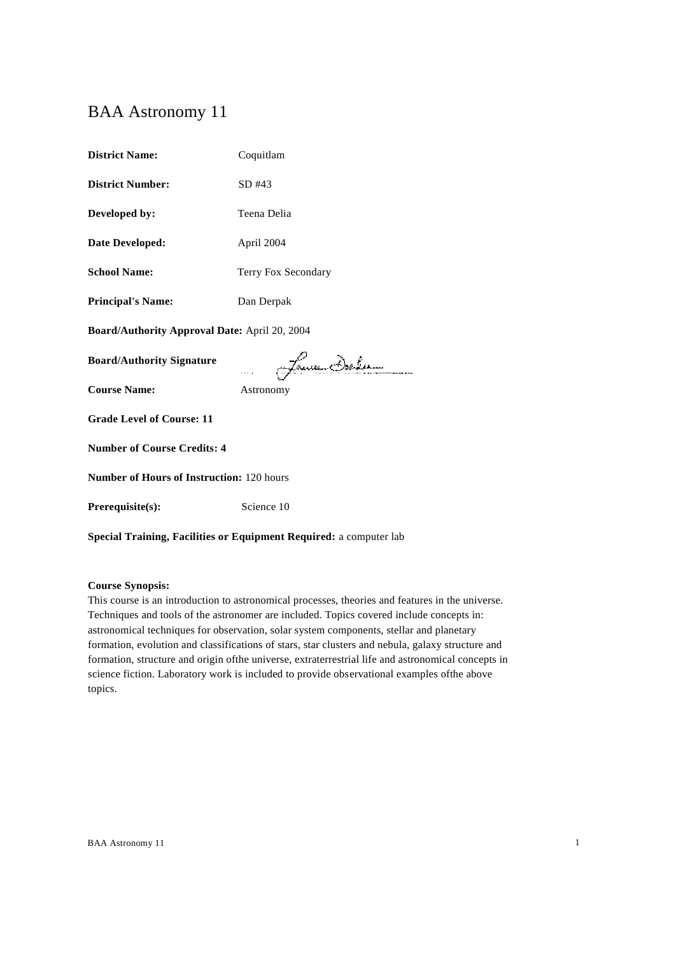# BAA Astronomy 11

| <b>District Name:</b>                         | Coquitlam           |  |
|-----------------------------------------------|---------------------|--|
| <b>District Number:</b>                       | SD #43              |  |
| Developed by:                                 | Teena Delia         |  |
| <b>Date Developed:</b>                        | April 2004          |  |
| <b>School Name:</b>                           | Terry Fox Secondary |  |
| <b>Principal's Name:</b>                      | Dan Derpak          |  |
| Board/Authority Approval Date: April 20, 2004 |                     |  |
| <b>Board/Authority Signature</b>              | James Deler         |  |
| <b>Course Name:</b>                           | Astronomy           |  |
| <b>Grade Level of Course: 11</b>              |                     |  |
| <b>Number of Course Credits: 4</b>            |                     |  |
| Number of Hours of Instruction: 120 hours     |                     |  |
| Prerequisite(s):                              | Science 10          |  |
|                                               |                     |  |

**Special Training, Facilities or Equipment Required:** a computer lab

**Course Synopsis:**

This course is an introduction to astronomical processes, theories and features in the universe. Techniques and tools of the astronomer are included. Topics covered include concepts in: astronomical techniques for observation, solar system components, stellar and planetary formation, evolution and classifications of stars, star clusters and nebula, galaxy structure and formation, structure and origin ofthe universe, extraterrestrial life and astronomical concepts in science fiction. Laboratory work is included to provide observational examples ofthe above topics.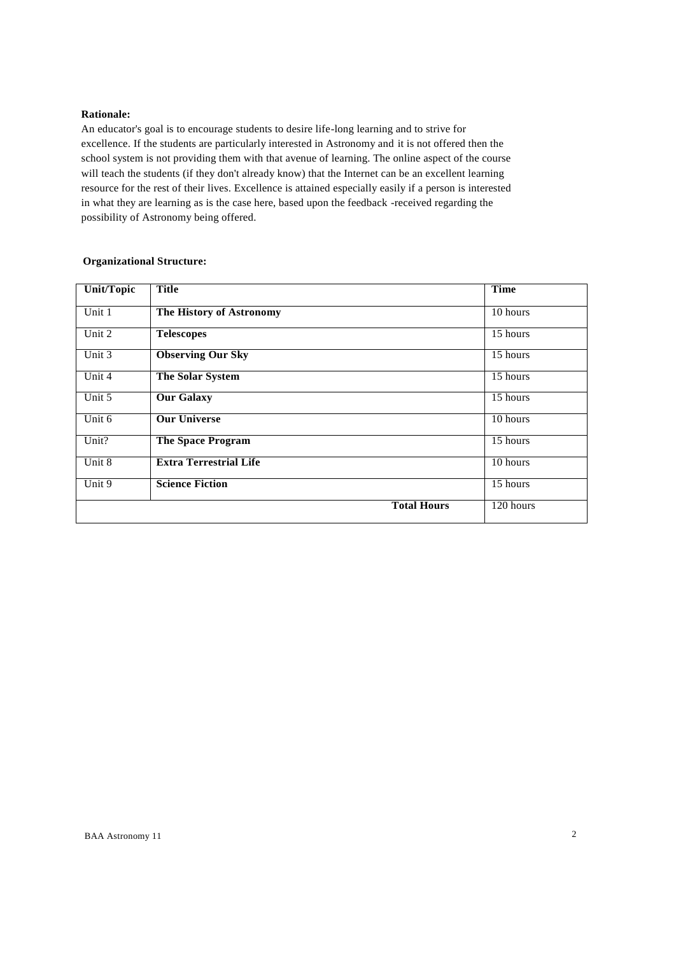### **Rationale:**

An educator's goal is to encourage students to desire life-long learning and to strive for excellence. If the students are particularly interested in Astronomy and it is not offered then the school system is not providing them with that avenue of learning. The online aspect of the course will teach the students (if they don't already know) that the Internet can be an excellent learning resource for the rest of their lives. Excellence is attained especially easily if a person is interested in what they are learning as is the case here, based upon the feedback -received regarding the possibility of Astronomy being offered.

| Unit/Topic | <b>Title</b>                  | <b>Time</b> |
|------------|-------------------------------|-------------|
| Unit 1     | The History of Astronomy      | 10 hours    |
| Unit 2     | <b>Telescopes</b>             | 15 hours    |
| Unit 3     | <b>Observing Our Sky</b>      | 15 hours    |
| Unit 4     | The Solar System              | 15 hours    |
| Unit 5     | <b>Our Galaxy</b>             | $15$ hours  |
| Unit 6     | <b>Our Universe</b>           | 10 hours    |
| Unit?      | <b>The Space Program</b>      | 15 hours    |
| Unit 8     | <b>Extra Terrestrial Life</b> | 10 hours    |
| Unit 9     | <b>Science Fiction</b>        | $15$ hours  |
|            | <b>Total Hours</b>            | 120 hours   |

# **Organizational Structure:**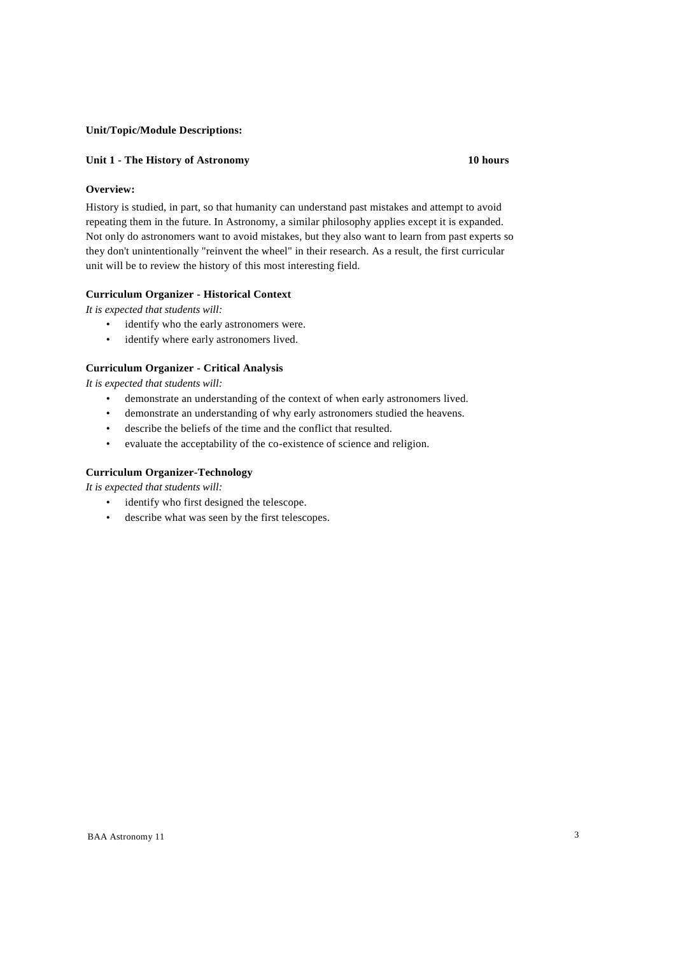# **Unit/Topic/Module Descriptions:**

# **Unit 1 - The History of Astronomy 10 hours**

# **Overview:**

History is studied, in part, so that humanity can understand past mistakes and attempt to avoid repeating them in the future. In Astronomy, a similar philosophy applies except it is expanded. Not only do astronomers want to avoid mistakes, but they also want to learn from past experts so they don't unintentionally "reinvent the wheel" in their research. As a result, the first curricular unit will be to review the history of this most interesting field.

# **Curriculum Organizer - Historical Context**

*It is expected that students will:*

- identify who the early astronomers were.
- identify where early astronomers lived.

# **Curriculum Organizer - Critical Analysis**

*It is expected that students will:*

- demonstrate an understanding of the context of when early astronomers lived.
- demonstrate an understanding of why early astronomers studied the heavens.
- describe the beliefs of the time and the conflict that resulted.
- evaluate the acceptability of the co-existence of science and religion.

# **Curriculum Organizer-Technology**

- identify who first designed the telescope.
- describe what was seen by the first telescopes.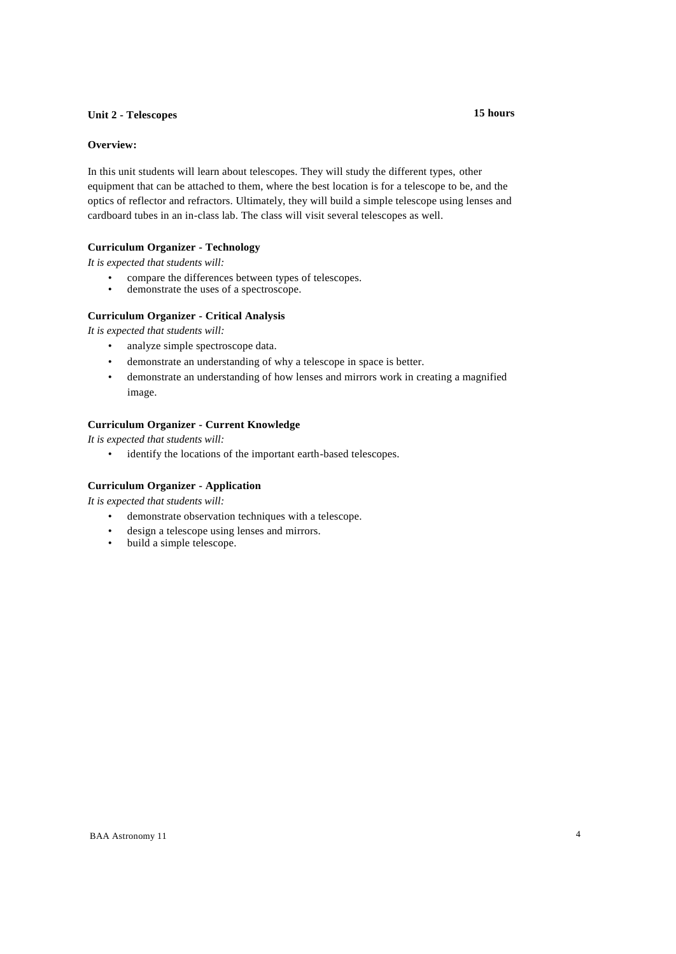# **Unit 2 - Telescopes 15 hours**

# **Overview:**

In this unit students will learn about telescopes. They will study the different types, other equipment that can be attached to them, where the best location is for a telescope to be, and the optics of reflector and refractors. Ultimately, they will build a simple telescope using lenses and cardboard tubes in an in-class lab. The class will visit several telescopes as well.

# **Curriculum Organizer - Technology**

*It is expected that students will:*

- compare the differences between types of telescopes.
- demonstrate the uses of a spectroscope.

# **Curriculum Organizer - Critical Analysis**

*It is expected that students will:*

- analyze simple spectroscope data.
- demonstrate an understanding of why a telescope in space is better.
- demonstrate an understanding of how lenses and mirrors work in creating a magnified image.

# **Curriculum Organizer - Current Knowledge**

*It is expected that students will:*

• identify the locations of the important earth-based telescopes.

# **Curriculum Organizer - Application**

- demonstrate observation techniques with a telescope.
- design a telescope using lenses and mirrors.<br>• build a simple telescope
- build a simple telescope.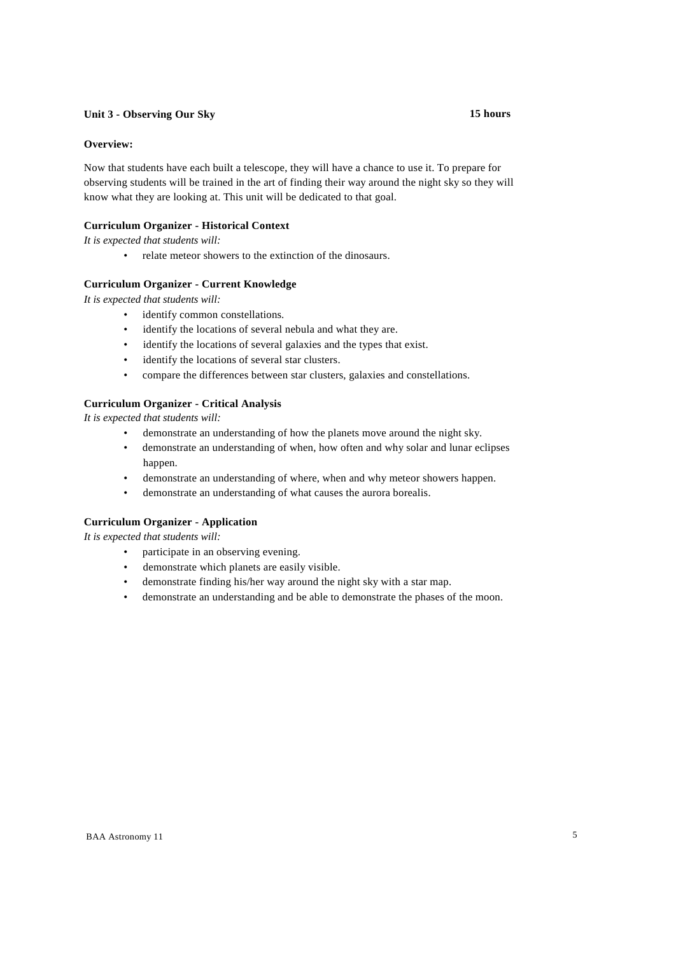# **Unit 3 - Observing Our Sky 15 hours**

# **Overview:**

Now that students have each built a telescope, they will have a chance to use it. To prepare for observing students will be trained in the art of finding their way around the night sky so they will know what they are looking at. This unit will be dedicated to that goal.

# **Curriculum Organizer - Historical Context**

*It is expected that students will:*

• relate meteor showers to the extinction of the dinosaurs.

# **Curriculum Organizer - Current Knowledge**

*It is expected that students will:*

- identify common constellations.
- identify the locations of several nebula and what they are.
- identify the locations of several galaxies and the types that exist.
- identify the locations of several star clusters.
- compare the differences between star clusters, galaxies and constellations.

# **Curriculum Organizer - Critical Analysis**

*It is expected that students will:*

- demonstrate an understanding of how the planets move around the night sky.
- demonstrate an understanding of when, how often and why solar and lunar eclipses happen.
- demonstrate an understanding of where, when and why meteor showers happen.
- demonstrate an understanding of what causes the aurora borealis.

# **Curriculum Organizer - Application**

- participate in an observing evening.
- demonstrate which planets are easily visible.
- demonstrate finding his/her way around the night sky with a star map.
- demonstrate an understanding and be able to demonstrate the phases of the moon.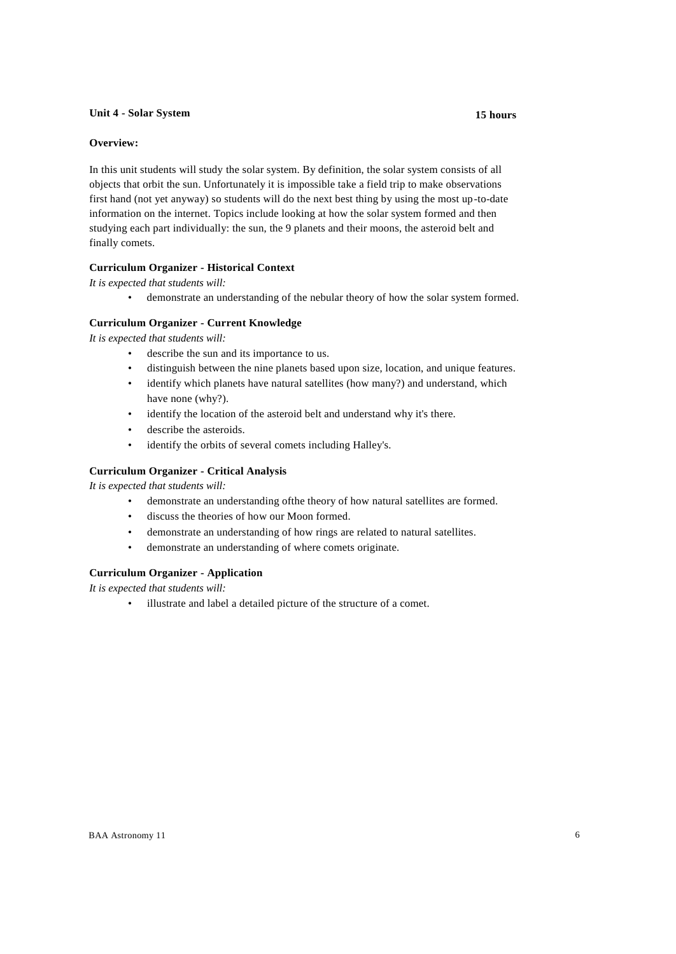### **Unit 4 - Solar System 15 hours**

# **Overview:**

In this unit students will study the solar system. By definition, the solar system consists of all objects that orbit the sun. Unfortunately it is impossible take a field trip to make observations first hand (not yet anyway) so students will do the next best thing by using the most up-to-date information on the internet. Topics include looking at how the solar system formed and then studying each part individually: the sun, the 9 planets and their moons, the asteroid belt and finally comets.

# **Curriculum Organizer - Historical Context**

*It is expected that students will:*

• demonstrate an understanding of the nebular theory of how the solar system formed.

# **Curriculum Organizer - Current Knowledge**

*It is expected that students will:*

- describe the sun and its importance to us.
- distinguish between the nine planets based upon size, location, and unique features.
- identify which planets have natural satellites (how many?) and understand, which have none (why?).
- identify the location of the asteroid belt and understand why it's there.
- describe the asteroids.
- identify the orbits of several comets including Halley's.

# **Curriculum Organizer - Critical Analysis**

*It is expected that students will:*

- demonstrate an understanding ofthe theory of how natural satellites are formed.
- discuss the theories of how our Moon formed.
- demonstrate an understanding of how rings are related to natural satellites.
- demonstrate an understanding of where comets originate.

# **Curriculum Organizer - Application**

*It is expected that students will:*

• illustrate and label a detailed picture of the structure of a comet.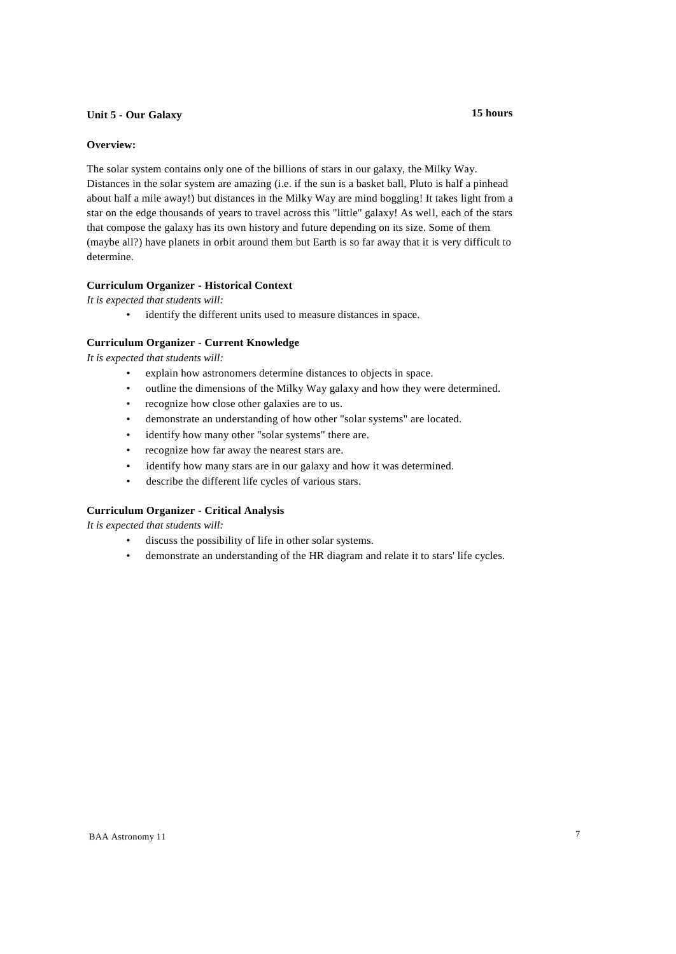# **Unit 5 - Our Galaxy 15 hours**

#### **Overview:**

The solar system contains only one of the billions of stars in our galaxy, the Milky Way. Distances in the solar system are amazing (i.e. if the sun is a basket ball, Pluto is half a pinhead about half a mile away!) but distances in the Milky Way are mind boggling! It takes light from a star on the edge thousands of years to travel across this "little" galaxy! As well, each of the stars that compose the galaxy has its own history and future depending on its size. Some of them (maybe all?) have planets in orbit around them but Earth is so far away that it is very difficult to determine.

### **Curriculum Organizer - Historical Context**

*It is expected that students will:*

• identify the different units used to measure distances in space.

#### **Curriculum Organizer - Current Knowledge**

*It is expected that students will:*

- explain how astronomers determine distances to objects in space.
- outline the dimensions of the Milky Way galaxy and how they were determined.
- recognize how close other galaxies are to us.
- demonstrate an understanding of how other "solar systems" are located.
- identify how many other "solar systems" there are.
- recognize how far away the nearest stars are.
- identify how many stars are in our galaxy and how it was determined.
- describe the different life cycles of various stars.

# **Curriculum Organizer - Critical Analysis**

- discuss the possibility of life in other solar systems.
- demonstrate an understanding of the HR diagram and relate it to stars' life cycles.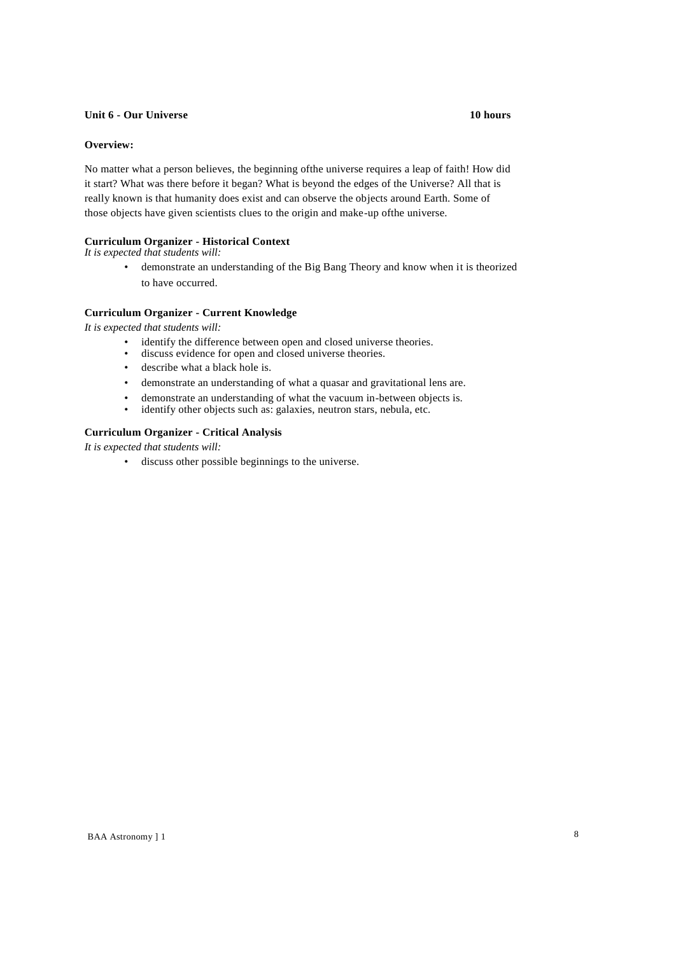### **Unit 6 - Our Universe 10 hours**

# **Overview:**

No matter what a person believes, the beginning ofthe universe requires a leap of faith! How did it start? What was there before it began? What is beyond the edges of the Universe? All that is really known is that humanity does exist and can observe the objects around Earth. Some of those objects have given scientists clues to the origin and make-up ofthe universe.

# **Curriculum Organizer - Historical Context**

*It is expected that students will:*

• demonstrate an understanding of the Big Bang Theory and know when it is theorized to have occurred.

# **Curriculum Organizer - Current Knowledge**

*It is expected that students will:*

- identify the difference between open and closed universe theories.
- discuss evidence for open and closed universe theories.
- describe what a black hole is.
- demonstrate an understanding of what a quasar and gravitational lens are.
- demonstrate an understanding of what the vacuum in-between objects is.<br>• identify other objects such as: gelaxies, neutron stars, nebula ate.
- identify other objects such as: galaxies, neutron stars, nebula, etc.

# **Curriculum Organizer - Critical Analysis**

*It is expected that students will:*

• discuss other possible beginnings to the universe.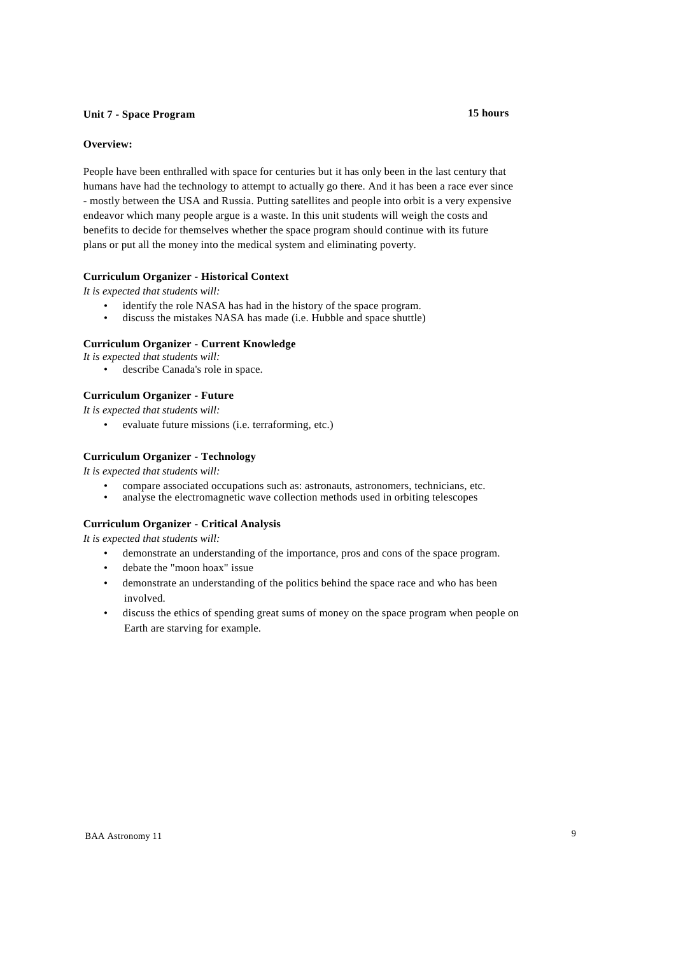# **Unit 7 - Space Program 15 hours**

# **Overview:**

People have been enthralled with space for centuries but it has only been in the last century that humans have had the technology to attempt to actually go there. And it has been a race ever since - mostly between the USA and Russia. Putting satellites and people into orbit is a very expensive endeavor which many people argue is a waste. In this unit students will weigh the costs and benefits to decide for themselves whether the space program should continue with its future plans or put all the money into the medical system and eliminating poverty.

# **Curriculum Organizer - Historical Context**

*It is expected that students will:*

- identify the role NASA has had in the history of the space program.<br>• discuss the mistakes NASA has made (i.e. Hubble and space shuttle)
- discuss the mistakes NASA has made (i.e. Hubble and space shuttle)

# **Curriculum Organizer - Current Knowledge**

*It is expected that students will:*

• describe Canada's role in space.

# **Curriculum Organizer - Future**

*It is expected that students will:*

• evaluate future missions (i.e. terraforming, etc.)

# **Curriculum Organizer - Technology**

*It is expected that students will:*

- compare associated occupations such as: astronauts, astronomers, technicians, etc.<br>• analyse the electromagnetic wave collection methods used in orbiting telescopes
- analyse the electromagnetic wave collection methods used in orbiting telescopes

# **Curriculum Organizer - Critical Analysis**

- demonstrate an understanding of the importance, pros and cons of the space program.
- debate the "moon hoax" issue
- demonstrate an understanding of the politics behind the space race and who has been involved.
- discuss the ethics of spending great sums of money on the space program when people on Earth are starving for example.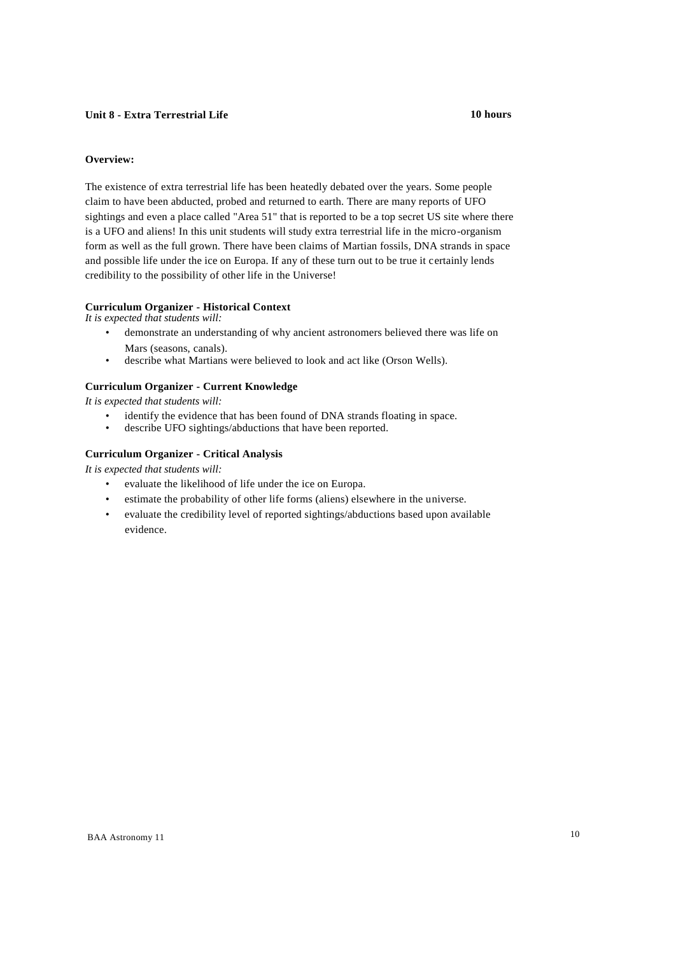# **Unit 8 - Extra Terrestrial Life 10 hours**

### **Overview:**

The existence of extra terrestrial life has been heatedly debated over the years. Some people claim to have been abducted, probed and returned to earth. There are many reports of UFO sightings and even a place called "Area 51" that is reported to be a top secret US site where there is a UFO and aliens! In this unit students will study extra terrestrial life in the micro-organism form as well as the full grown. There have been claims of Martian fossils, DNA strands in space and possible life under the ice on Europa. If any of these turn out to be true it certainly lends credibility to the possibility of other life in the Universe!

# **Curriculum Organizer - Historical Context**

*It is expected that students will:*

- demonstrate an understanding of why ancient astronomers believed there was life on Mars (seasons, canals).
- describe what Martians were believed to look and act like (Orson Wells).

### **Curriculum Organizer - Current Knowledge**

*It is expected that students will:*

- identify the evidence that has been found of DNA strands floating in space.
- describe UFO sightings/abductions that have been reported.

# **Curriculum Organizer - Critical Analysis**

- evaluate the likelihood of life under the ice on Europa.
- estimate the probability of other life forms (aliens) elsewhere in the universe.
- evaluate the credibility level of reported sightings/abductions based upon available evidence.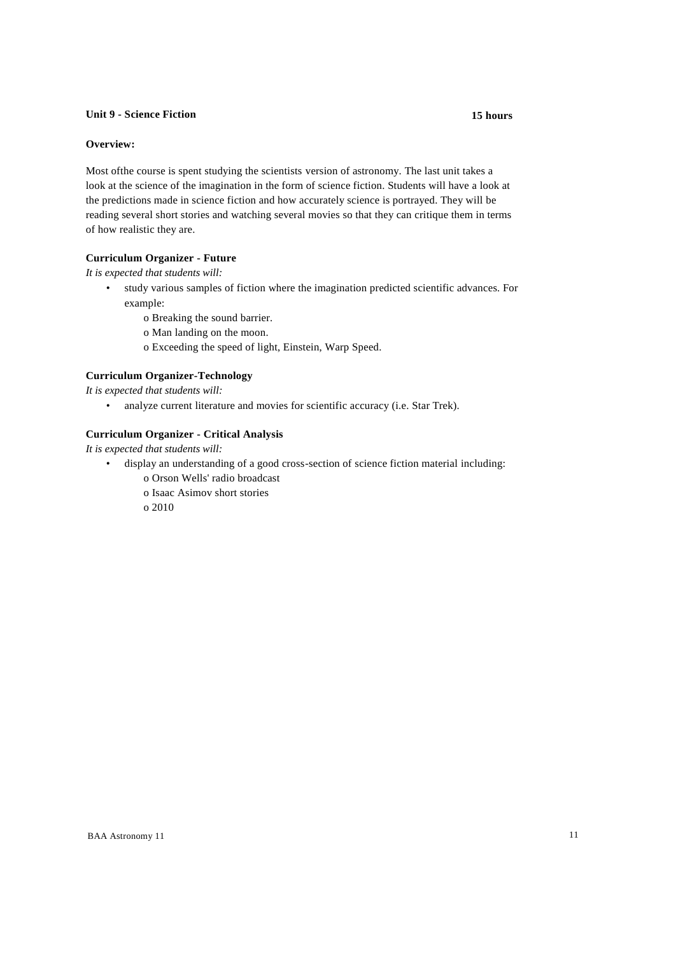### **Unit 9 - Science Fiction 15 hours**

# **Overview:**

Most ofthe course is spent studying the scientists version of astronomy. The last unit takes a look at the science of the imagination in the form of science fiction. Students will have a look at the predictions made in science fiction and how accurately science is portrayed. They will be reading several short stories and watching several movies so that they can critique them in terms of how realistic they are.

# **Curriculum Organizer - Future**

*It is expected that students will:*

- study various samples of fiction where the imagination predicted scientific advances. For example:
	- o Breaking the sound barrier.
	- o Man landing on the moon.
	- o Exceeding the speed of light, Einstein, Warp Speed.

# **Curriculum Organizer-Technology**

*It is expected that students will:*

• analyze current literature and movies for scientific accuracy (i.e. Star Trek).

#### **Curriculum Organizer - Critical Analysis**

*It is expected that students will:*

- display an understanding of a good cross-section of science fiction material including:
	- o Orson Wells' radio broadcast
	- o Isaac Asimov short stories

o 2010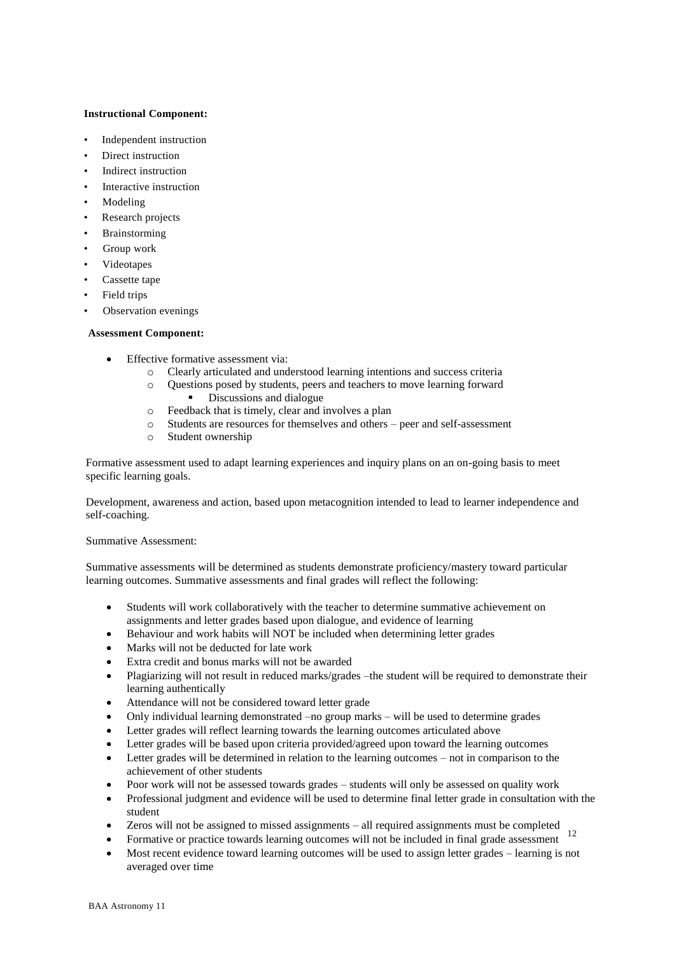# **Instructional Component:**

- Independent instruction
- Direct instruction
- Indirect instruction
- Interactive instruction
- Modeling
- Research projects
- **Brainstorming**
- Group work
- Videotapes
- Cassette tape
- Field trips
- Observation evenings

### **Assessment Component:**

- Effective formative assessment via:
	- o Clearly articulated and understood learning intentions and success criteria
	- o Questions posed by students, peers and teachers to move learning forward Discussions and dialogue
	- o Feedback that is timely, clear and involves a plan
	- o Students are resources for themselves and others peer and self-assessment
	- o Student ownership

Formative assessment used to adapt learning experiences and inquiry plans on an on-going basis to meet specific learning goals.

Development, awareness and action, based upon metacognition intended to lead to learner independence and self-coaching.

### Summative Assessment:

Summative assessments will be determined as students demonstrate proficiency/mastery toward particular learning outcomes. Summative assessments and final grades will reflect the following:

- Students will work collaboratively with the teacher to determine summative achievement on assignments and letter grades based upon dialogue, and evidence of learning
- Behaviour and work habits will NOT be included when determining letter grades
- Marks will not be deducted for late work
- Extra credit and bonus marks will not be awarded
- Plagiarizing will not result in reduced marks/grades –the student will be required to demonstrate their learning authentically
- Attendance will not be considered toward letter grade
- Only individual learning demonstrated –no group marks will be used to determine grades
- Letter grades will reflect learning towards the learning outcomes articulated above
- Letter grades will be based upon criteria provided/agreed upon toward the learning outcomes
- Letter grades will be determined in relation to the learning outcomes not in comparison to the achievement of other students
- Poor work will not be assessed towards grades students will only be assessed on quality work
- Professional judgment and evidence will be used to determine final letter grade in consultation with the student
- Zeros will not be assigned to missed assignments all required assignments must be completed
- Formative or practice towards learning outcomes will not be included in final grade assessment 12
- Most recent evidence toward learning outcomes will be used to assign letter grades learning is not averaged over time